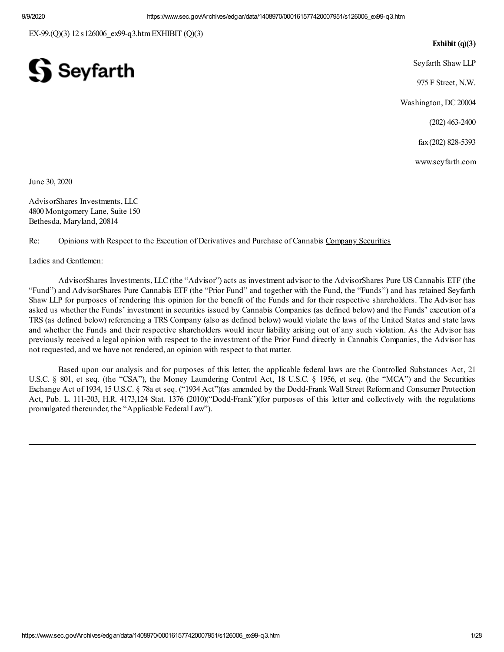EX-99.(Q)(3) 12 s126006\_ex99-q3.htmEXHIBIT (Q)(3)

#### **Exhibit (q)(3)**

Seyfarth Shaw LLP

975 F Street, N.W.

Washington, DC 20004

(202) 463-2400

fax(202) 828-5393

www.seyfarth.com

June 30, 2020

AdvisorShares Investments, LLC 4800 Montgomery Lane, Suite 150 Bethesda, Maryland, 20814

 $\mathbf S$  Seyfarth

Re: Opinions with Respect to the Execution of Derivatives and Purchase of Cannabis Company Securities

Ladies and Gentlemen:

AdvisorShares Investments, LLC (the "Advisor") acts as investment advisor to the AdvisorShares Pure US Cannabis ETF (the "Fund") and AdvisorShares Pure Cannabis ETF (the "Prior Fund" and together with the Fund, the "Funds") and has retained Seyfarth Shaw LLP for purposes of rendering this opinion for the benefit of the Funds and for their respective shareholders. The Advisor has asked us whether the Funds' investment in securities issued by Cannabis Companies (as defined below) and the Funds' execution of a TRS (as defined below) referencing a TRS Company (also as defined below) would violate the laws of the United States and state laws and whether the Funds and their respective shareholders would incur liability arising out of any such violation. As the Advisor has previously received a legal opinion with respect to the investment of the Prior Fund directly in Cannabis Companies, the Advisor has not requested, and we have not rendered, an opinion with respect to that matter.

Based upon our analysis and for purposes of this letter, the applicable federal laws are the Controlled Substances Act, 21 U.S.C. § 801, et seq. (the "CSA"), the Money Laundering Control Act, 18 U.S.C. § 1956, et seq. (the "MCA") and the Securities Exchange Act of 1934, 15 U.S.C. § 78a et seq. ("1934 Act")(as amended by the Dodd-Frank Wall Street Reformand Consumer Protection Act, Pub. L. 111-203, H.R. 4173,124 Stat. 1376 (2010)("Dodd-Frank")(for purposes of this letter and collectively with the regulations promulgated thereunder, the "Applicable Federal Law").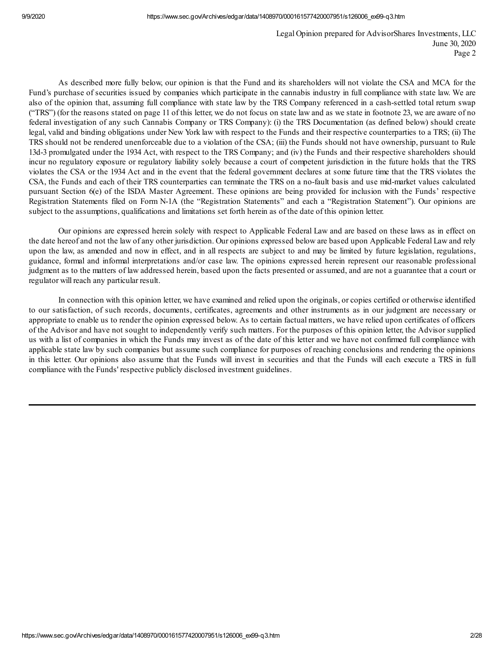As described more fully below, our opinion is that the Fund and its shareholders will not violate the CSA and MCA for the Fund's purchase of securities issued by companies which participate in the cannabis industry in full compliance with state law. We are also of the opinion that, assuming full compliance with state law by the TRS Company referenced in a cash-settled total return swap ("TRS") (for the reasons stated on page 11 of this letter, we do not focus on state law and as we state in footnote 23, we are aware of no federal investigation of any such Cannabis Company or TRS Company): (i) the TRS Documentation (as defined below) should create legal, valid and binding obligations under New York law with respect to the Funds and their respective counterparties to a TRS; (ii) The TRS should not be rendered unenforceable due to a violation of the CSA; (iii) the Funds should not have ownership, pursuant to Rule 13d-3 promulgated under the 1934 Act, with respect to the TRS Company; and (iv) the Funds and their respective shareholders should incur no regulatory exposure or regulatory liability solely because a court of competent jurisdiction in the future holds that the TRS violates the CSA or the 1934 Act and in the event that the federal government declares at some future time that the TRS violates the CSA, the Funds and each of their TRS counterparties can terminate the TRS on a no-fault basis and use mid-market values calculated pursuant Section 6(e) of the ISDA Master Agreement. These opinions are being provided for inclusion with the Funds' respective Registration Statements filed on Form N-1A (the "Registration Statements" and each a "Registration Statement"). Our opinions are subject to the assumptions, qualifications and limitations set forth herein as of the date of this opinion letter.

Our opinions are expressed herein solely with respect to Applicable Federal Law and are based on these laws as in effect on the date hereof and not the law of any other jurisdiction. Our opinions expressed below are based upon Applicable Federal Law and rely upon the law, as amended and now in effect, and in all respects are subject to and may be limited by future legislation, regulations, guidance, formal and informal interpretations and/or case law. The opinions expressed herein represent our reasonable professional judgment as to the matters of law addressed herein, based upon the facts presented or assumed, and are not a guarantee that a court or regulator will reach any particular result.

In connection with this opinion letter, we have examined and relied upon the originals, or copies certified or otherwise identified to our satisfaction, of such records, documents, certificates, agreements and other instruments as in our judgment are necessary or appropriate to enable us to render the opinion expressed below. As to certain factual matters, we have relied upon certificates of officers of the Advisor and have not sought to independently verify such matters. For the purposes of this opinion letter, the Advisor supplied us with a list of companies in which the Funds may invest as of the date of this letter and we have not confirmed full compliance with applicable state law by such companies but assume such compliance for purposes of reaching conclusions and rendering the opinions in this letter. Our opinions also assume that the Funds will invest in securities and that the Funds will each execute a TRS in full compliance with the Funds' respective publicly disclosed investment guidelines.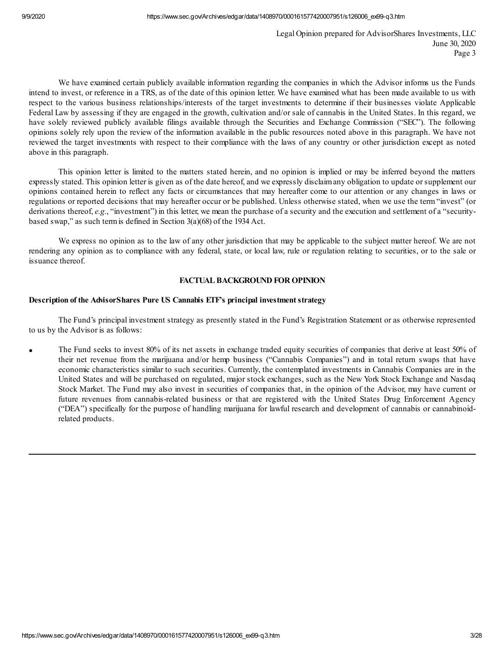We have examined certain publicly available information regarding the companies in which the Advisor informs us the Funds intend to invest, or reference in a TRS, as of the date of this opinion letter. We have examined what has been made available to us with respect to the various business relationships/interests of the target investments to determine if their businesses violate Applicable Federal Law by assessing if they are engaged in the growth, cultivation and/or sale of cannabis in the United States. In this regard, we have solely reviewed publicly available filings available through the Securities and Exchange Commission ("SEC"). The following opinions solely rely upon the review of the information available in the public resources noted above in this paragraph. We have not reviewed the target investments with respect to their compliance with the laws of any country or other jurisdiction except as noted above in this paragraph.

This opinion letter is limited to the matters stated herein, and no opinion is implied or may be inferred beyond the matters expressly stated. This opinion letter is given as of the date hereof, and we expressly disclaimany obligation to update orsupplement our opinions contained herein to reflect any facts or circumstances that may hereafter come to our attention or any changes in laws or regulations or reported decisions that may hereafter occur or be published. Unless otherwise stated, when we use the term "invest" (or derivations thereof, *e.g.*, "investment") in this letter, we mean the purchase of a security and the execution and settlement of a "securitybased swap," as such termis defined in Section 3(a)(68) of the 1934 Act.

We express no opinion as to the law of any other jurisdiction that may be applicable to the subject matter hereof. We are not rendering any opinion as to compliance with any federal, state, or local law, rule or regulation relating to securities, or to the sale or issuance thereof.

## **FACTUALBACKGROUND FOR OPINION**

### **Description of the AdvisorShares Pure US Cannabis ETF's principal investmentstrategy**

The Fund's principal investment strategy as presently stated in the Fund's Registration Statement or as otherwise represented to us by the Advisor is as follows:

The Fund seeks to invest 80% of its net assets in exchange traded equity securities of companies that derive at least 50% of their net revenue from the marijuana and/or hemp business ("Cannabis Companies") and in total return swaps that have economic characteristics similar to such securities. Currently, the contemplated investments in Cannabis Companies are in the United States and will be purchased on regulated, major stock exchanges, such as the New York Stock Exchange and Nasdaq Stock Market. The Fund may also invest in securities of companies that, in the opinion of the Advisor, may have current or future revenues from cannabis-related business or that are registered with the United States Drug Enforcement Agency ("DEA") specifically for the purpose of handling marijuana for lawful research and development of cannabis or cannabinoidrelated products.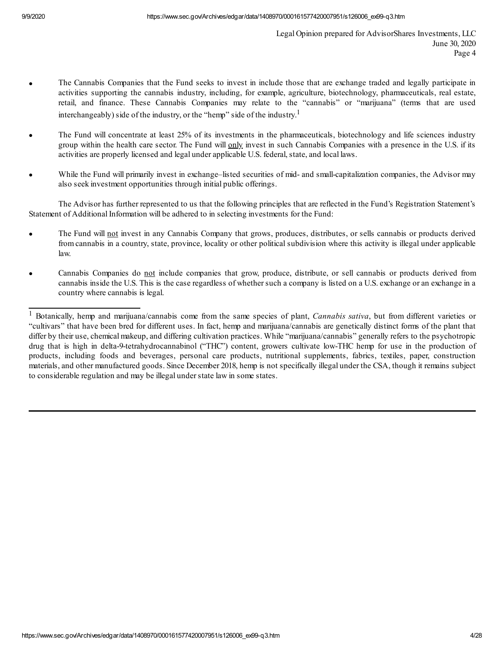- · The Cannabis Companies that the Fund seeks to invest in include those that are exchange traded and legally participate in activities supporting the cannabis industry, including, for example, agriculture, biotechnology, pharmaceuticals, real estate, retail, and finance. These Cannabis Companies may relate to the "cannabis" or "marijuana" (terms that are used interchangeably) side of the industry, or the "hemp" side of the industry.<sup>1</sup>
- The Fund will concentrate at least 25% of its investments in the pharmaceuticals, biotechnology and life sciences industry group within the health care sector. The Fund will only invest in such Cannabis Companies with a presence in the U.S. if its activities are properly licensed and legal under applicable U.S. federal, state, and local laws.
- While the Fund will primarily invest in exchange–listed securities of mid- and small-capitalization companies, the Advisor may also seek investment opportunities through initial public offerings.

The Advisor has further represented to us that the following principles that are reflected in the Fund's Registration Statement's Statement of Additional Information will be adhered to in selecting investments for the Fund:

- The Fund will not invest in any Cannabis Company that grows, produces, distributes, or sells cannabis or products derived from cannabis in a country, state, province, locality or other political subdivision where this activity is illegal under applicable law.
- Cannabis Companies do not include companies that grow, produce, distribute, or sell cannabis or products derived from cannabis inside the U.S. This is the case regardless of whether such a company is listed on a U.S. exchange or an exchange in a country where cannabis is legal.

<sup>1</sup> Botanically, hemp and marijuana/cannabis come from the same species of plant, *Cannabis sativa*, but from different varieties or "cultivars" that have been bred for different uses. In fact, hemp and marijuana/cannabis are genetically distinct forms of the plant that differ by their use, chemical makeup, and differing cultivation practices. While "marijuana/cannabis" generally refers to the psychotropic drug that is high in delta-9-tetrahydrocannabinol ("THC") content, growers cultivate low-THC hemp for use in the production of products, including foods and beverages, personal care products, nutritional supplements, fabrics, textiles, paper, construction materials, and other manufactured goods. Since December 2018, hemp is not specifically illegal under the CSA, though it remains subject to considerable regulation and may be illegal understate law in some states.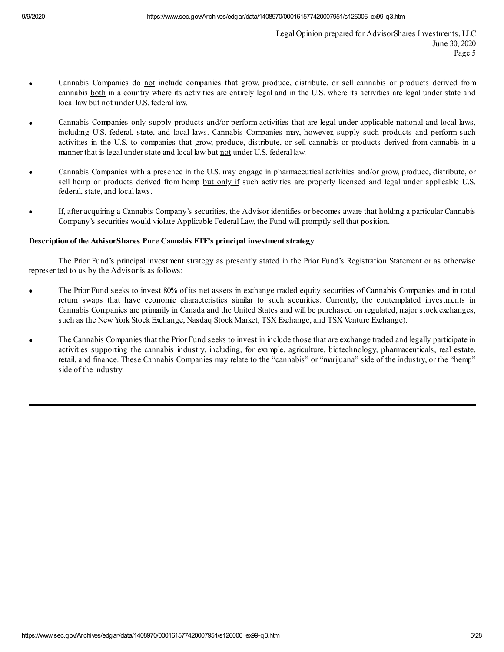- Cannabis Companies do not include companies that grow, produce, distribute, or sell cannabis or products derived from cannabis both in a country where its activities are entirely legal and in the U.S. where its activities are legal under state and local law but not under U.S. federal law.
- · Cannabis Companies only supply products and/or perform activities that are legal under applicable national and local laws, including U.S. federal, state, and local laws. Cannabis Companies may, however, supply such products and perform such activities in the U.S. to companies that grow, produce, distribute, or sell cannabis or products derived from cannabis in a manner that is legal under state and local law but not under U.S. federal law.
- · Cannabis Companies with a presence in the U.S. may engage in pharmaceutical activities and/or grow, produce, distribute, or sell hemp or products derived from hemp but only if such activities are properly licensed and legal under applicable U.S. federal, state, and local laws.
- · If, after acquiring a Cannabis Company's securities, the Advisor identifies or becomes aware that holding a particular Cannabis Company's securities would violate Applicable Federal Law, the Fund will promptly sell that position.

## **Description of the AdvisorShares Pure Cannabis ETF's principal investmentstrategy**

The Prior Fund's principal investment strategy as presently stated in the Prior Fund's Registration Statement or as otherwise represented to us by the Advisor is as follows:

- The Prior Fund seeks to invest 80% of its net assets in exchange traded equity securities of Cannabis Companies and in total return swaps that have economic characteristics similar to such securities. Currently, the contemplated investments in Cannabis Companies are primarily in Canada and the United States and will be purchased on regulated, major stock exchanges, such as the New York Stock Exchange, Nasdaq Stock Market, TSX Exchange, and TSX Venture Exchange).
- The Cannabis Companies that the Prior Fund seeks to invest in include those that are exchange traded and legally participate in activities supporting the cannabis industry, including, for example, agriculture, biotechnology, pharmaceuticals, real estate, retail, and finance. These Cannabis Companies may relate to the "cannabis" or "marijuana" side of the industry, or the "hemp" side of the industry.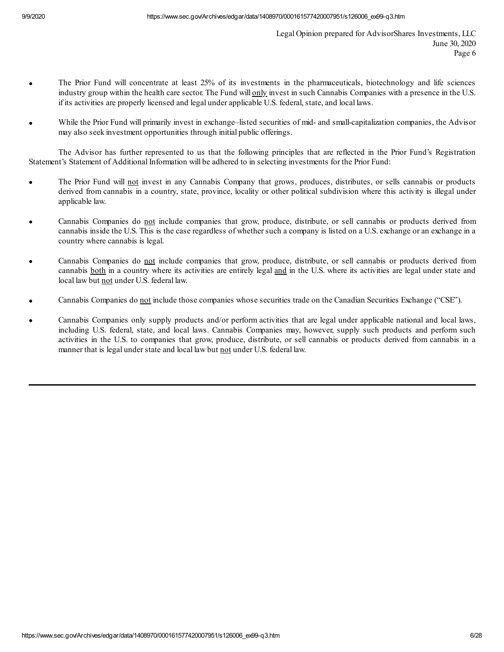- · The Prior Fund will concentrate at least 25% of its investments in the pharmaceuticals, biotechnology and life sciences industry group within the health care sector. The Fund will only invest in such Cannabis Companies with a presence in the U.S. if its activities are properly licensed and legal under applicable U.S. federal, state, and local laws.
- While the Prior Fund will primarily invest in exchange–listed securities of mid- and small-capitalization companies, the Advisor may also seek investment opportunities through initial public offerings.

The Advisor has further represented to us that the following principles that are reflected in the Prior Fund's Registration Statement's Statement of Additional Information will be adhered to in selecting investments for the Prior Fund:

- The Prior Fund will not invest in any Cannabis Company that grows, produces, distributes, or sells cannabis or products derived from cannabis in a country, state, province, locality or other political subdivision where this activity is illegal under applicable law.
- Cannabis Companies do not include companies that grow, produce, distribute, or sell cannabis or products derived from cannabis inside the U.S. This is the case regardless of whether such a company is listed on a U.S. exchange or an exchange in a country where cannabis is legal.
- Cannabis Companies do not include companies that grow, produce, distribute, or sell cannabis or products derived from cannabis both in a country where its activities are entirely legal and in the U.S. where its activities are legal under state and local law but not under U.S. federal law.
- Cannabis Companies do not include those companies whose securities trade on the Canadian Securities Exchange ("CSE").
- · Cannabis Companies only supply products and/or perform activities that are legal under applicable national and local laws, including U.S. federal, state, and local laws. Cannabis Companies may, however, supply such products and perform such activities in the U.S. to companies that grow, produce, distribute, or sell cannabis or products derived from cannabis in a manner that is legal under state and local law but not under U.S. federal law.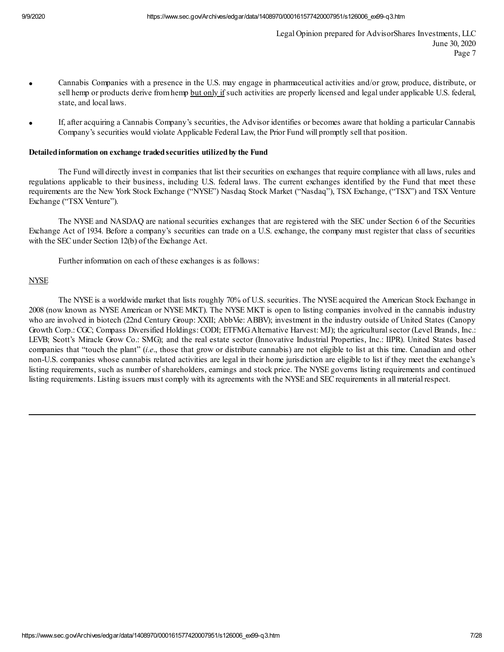- · Cannabis Companies with a presence in the U.S. may engage in pharmaceutical activities and/or grow, produce, distribute, or sell hemp or products derive from hemp but only if such activities are properly licensed and legal under applicable U.S. federal, state, and local laws.
- · If, after acquiring a Cannabis Company's securities, the Advisor identifies or becomes aware that holding a particular Cannabis Company's securities would violate Applicable Federal Law, the Prior Fund will promptly sell that position.

#### **Detailedinformation on exchange tradedsecurities utilizedby the Fund**

The Fund will directly invest in companies that list their securities on exchanges that require compliance with all laws, rules and regulations applicable to their business, including U.S. federal laws. The current exchanges identified by the Fund that meet these requirements are the New York Stock Exchange ("NYSE") Nasdaq Stock Market ("Nasdaq"), TSX Exchange, ("TSX") and TSX Venture Exchange ("TSX Venture").

The NYSE and NASDAQ are national securities exchanges that are registered with the SEC under Section 6 of the Securities Exchange Act of 1934. Before a company's securities can trade on a U.S. exchange, the company must register that class of securities with the SEC under Section 12(b) of the Exchange Act.

Further information on each of these exchanges is as follows:

### **NYSE**

The NYSE is a worldwide market that lists roughly 70% of U.S. securities. The NYSE acquired the American Stock Exchange in 2008 (now known as NYSE American or NYSE MKT). The NYSE MKT is open to listing companies involved in the cannabis industry who are involved in biotech (22nd Century Group: XXII; AbbVie: ABBV); investment in the industry outside of United States (Canopy Growth Corp.: CGC; Compass Diversified Holdings: CODI; ETFMGAlternative Harvest: MJ); the agricultural sector (Level Brands, Inc.: LEVB; Scott's Miracle Grow Co.: SMG); and the real estate sector (Innovative Industrial Properties, Inc.: IIPR). United States based companies that "touch the plant" (*i.e*., those that grow or distribute cannabis) are not eligible to list at this time. Canadian and other non-U.S. companies whose cannabis related activities are legal in their home jurisdiction are eligible to list if they meet the exchange's listing requirements, such as number of shareholders, earnings and stock price. The NYSE governs listing requirements and continued listing requirements. Listing issuers must comply with its agreements with the NYSE and SEC requirements in all material respect.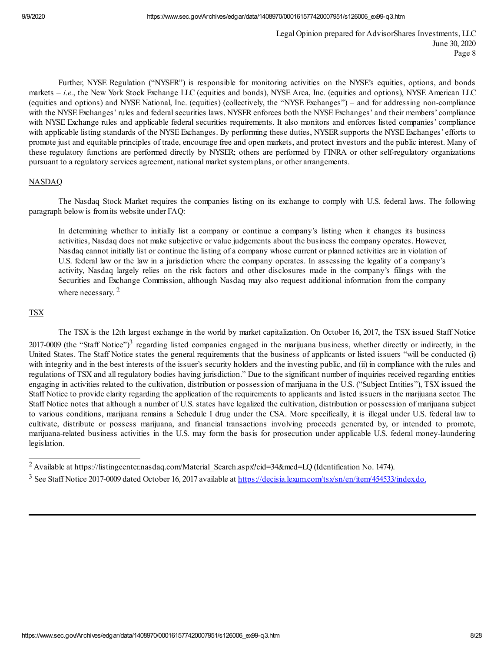Further, NYSE Regulation ("NYSER") is responsible for monitoring activities on the NYSE's equities, options, and bonds markets – *i.e.*, the New York Stock Exchange LLC (equities and bonds), NYSE Arca, Inc. (equities and options), NYSE American LLC (equities and options) and NYSE National, Inc. (equities) (collectively, the "NYSE Exchanges") – and for addressing non-compliance with the NYSE Exchanges' rules and federal securities laws. NYSER enforces both the NYSE Exchanges' and their members' compliance with NYSE Exchange rules and applicable federal securities requirements. It also monitors and enforces listed companies' compliance with applicable listing standards of the NYSE Exchanges. By performing these duties, NYSER supports the NYSE Exchanges' efforts to promote just and equitable principles of trade, encourage free and open markets, and protect investors and the public interest. Many of these regulatory functions are performed directly by NYSER; others are performed by FINRA or other self-regulatory organizations pursuant to a regulatory services agreement, national market systemplans, or other arrangements.

### NASDAQ

The Nasdaq Stock Market requires the companies listing on its exchange to comply with U.S. federal laws. The following paragraph below is fromits website under FAQ:

In determining whether to initially list a company or continue a company's listing when it changes its business activities, Nasdaq does not make subjective or value judgements about the business the company operates. However, Nasdaq cannot initially list or continue the listing of a company whose current or planned activities are in violation of U.S. federal law or the law in a jurisdiction where the company operates. In assessing the legality of a company's activity, Nasdaq largely relies on the risk factors and other disclosures made in the company's filings with the Securities and Exchange Commission, although Nasdaq may also request additional information from the company where necessary.<sup>2</sup>

## TSX

The TSX is the 12th largest exchange in the world by market capitalization. On October 16, 2017, the TSX issued Staff Notice 2017-0009 (the "Staff Notice")<sup>3</sup> regarding listed companies engaged in the marijuana business, whether directly or indirectly, in the United States. The Staff Notice states the general requirements that the business of applicants or listed issuers "will be conducted (i) with integrity and in the best interests of the issuer's security holders and the investing public, and (ii) in compliance with the rules and regulations of TSX and all regulatory bodies having jurisdiction." Due to the significant number of inquiries received regarding entities engaging in activities related to the cultivation, distribution or possession of marijuana in the U.S. ("Subject Entities"), TSX issued the Staff Notice to provide clarity regarding the application of the requirements to applicants and listed issuers in the marijuana sector. The Staff Notice notes that although a number of U.S. states have legalized the cultivation, distribution or possession of marijuana subject to various conditions, marijuana remains a Schedule I drug under the CSA. More specifically, it is illegal under U.S. federal law to cultivate, distribute or possess marijuana, and financial transactions involving proceeds generated by, or intended to promote, marijuana-related business activities in the U.S. may form the basis for prosecution under applicable U.S. federal money-laundering legislation.

<sup>2</sup> Available at https://listingcenter.nasdaq.com/Material\_Search.aspx?cid=34&mcd=LQ (Identification No. 1474).

<sup>&</sup>lt;sup>3</sup> See Staff Notice 2017-0009 dated October 16, 2017 available at https://decisia.lexum.com/tsx/sn/en/item/454533/index.do.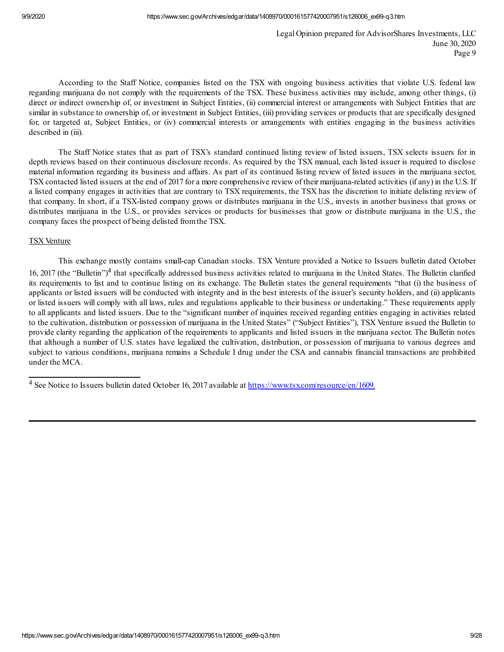According to the Staff Notice, companies listed on the TSX with ongoing business activities that violate U.S. federal law regarding marijuana do not comply with the requirements of the TSX. These business activities may include, among other things, (i) direct or indirect ownership of, or investment in Subject Entities, (ii) commercial interest or arrangements with Subject Entities that are similar in substance to ownership of, or investment in Subject Entities, (iii) providing services or products that are specifically designed for, or targeted at, Subject Entities, or (iv) commercial interests or arrangements with entities engaging in the business activities described in (iii).

The Staff Notice states that as part of TSX's standard continued listing review of listed issuers, TSX selects issuers for in depth reviews based on their continuous disclosure records. As required by the TSX manual, each listed issuer is required to disclose material information regarding its business and affairs. As part of its continued listing review of listed issuers in the marijuana sector, TSX contacted listed issuers at the end of 2017 for a more comprehensive review of their marijuana-related activities (if any) in the U.S. If a listed company engages in activities that are contrary to TSX requirements, the TSX has the discretion to initiate delisting review of that company. In short, if a TSX-listed company grows or distributes marijuana in the U.S., invests in another business that grows or distributes marijuana in the U.S., or provides services or products for businesses that grow or distribute marijuana in the U.S., the company faces the prospect of being delisted fromthe TSX.

#### TSX Venture

This exchange mostly contains small-cap Canadian stocks. TSX Venture provided a Notice to Issuers bulletin dated October 16, 2017 (the "Bulletin")<sup>4</sup> that specifically addressed business activities related to marijuana in the United States. The Bulletin clarified its requirements to list and to continue listing on its exchange. The Bulletin states the general requirements "that (i) the business of applicants or listed issuers will be conducted with integrity and in the best interests of the issuer's security holders, and (ii) applicants or listed issuers will comply with all laws, rules and regulations applicable to their business or undertaking." These requirements apply to all applicants and listed issuers. Due to the "significant number of inquiries received regarding entities engaging in activities related to the cultivation, distribution or possession of marijuana in the United States" ("Subject Entities"), TSX Venture issued the Bulletin to provide clarity regarding the application of the requirements to applicants and listed issuers in the marijuana sector. The Bulletin notes that although a number of U.S. states have legalized the cultivation, distribution, or possession of marijuana to various degrees and subject to various conditions, marijuana remains a Schedule I drug under the CSA and cannabis financial transactions are prohibited under the MCA.

<sup>4</sup> See Notice to Issuers bulletin dated October 16, 2017 available at https://www.tsx.com/resource/en/1609.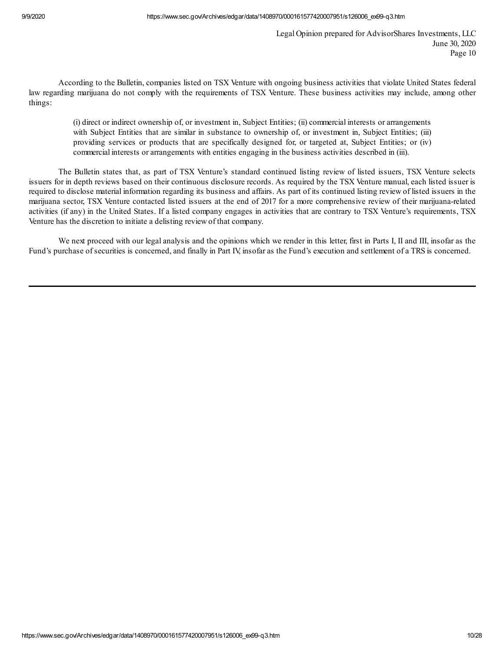According to the Bulletin, companies listed on TSX Venture with ongoing business activities that violate United States federal law regarding marijuana do not comply with the requirements of TSX Venture. These business activities may include, among other things:

(i) direct or indirect ownership of, or investment in, Subject Entities; (ii) commercial interests or arrangements with Subject Entities that are similar in substance to ownership of, or investment in, Subject Entities; (iii) providing services or products that are specifically designed for, or targeted at, Subject Entities; or (iv) commercial interests or arrangements with entities engaging in the business activities described in (iii).

The Bulletin states that, as part of TSX Venture's standard continued listing review of listed issuers, TSX Venture selects issuers for in depth reviews based on their continuous disclosure records. As required by the TSX Venture manual, each listed issuer is required to disclose material information regarding its business and affairs. As part of its continued listing review of listed issuers in the marijuana sector, TSX Venture contacted listed issuers at the end of 2017 for a more comprehensive review of their marijuana-related activities (if any) in the United States. If a listed company engages in activities that are contrary to TSX Venture's requirements, TSX Venture has the discretion to initiate a delisting review of that company.

We next proceed with our legal analysis and the opinions which we render in this letter, first in Parts I, II and III, insofar as the Fund's purchase of securities is concerned, and finally in Part IV, insofar as the Fund's execution and settlement of a TRS is concerned.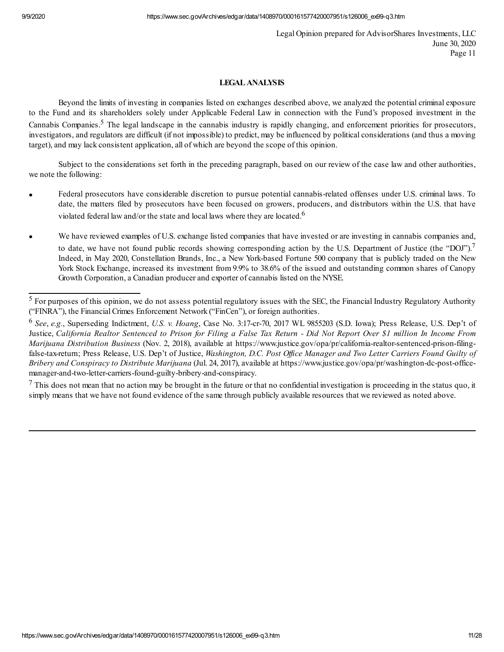# **LEGAL ANALYSIS**

Beyond the limits of investing in companies listed on exchanges described above, we analyzed the potential criminal exposure to the Fund and its shareholders solely under Applicable Federal Law in connection with the Fund's proposed investment in the Cannabis Companies.<sup>5</sup> The legal landscape in the cannabis industry is rapidly changing, and enforcement priorities for prosecutors, investigators, and regulators are difficult (if not impossible) to predict, may be influenced by political considerations (and thus a moving target), and may lack consistent application, all of which are beyond the scope of this opinion.

Subject to the considerations set forth in the preceding paragraph, based on our review of the case law and other authorities, we note the following:

- Federal prosecutors have considerable discretion to pursue potential cannabis-related offenses under U.S. criminal laws. To date, the matters filed by prosecutors have been focused on growers, producers, and distributors within the U.S. that have violated federal law and/or the state and local laws where they are located.<sup>6</sup>
- We have reviewed examples of U.S. exchange listed companies that have invested or are investing in cannabis companies and, to date, we have not found public records showing corresponding action by the U.S. Department of Justice (the "DOJ").<sup>7</sup> Indeed, in May 2020, Constellation Brands, Inc., a New York-based Fortune 500 company that is publicly traded on the New York Stock Exchange, increased its investment from 9.9% to 38.6% of the issued and outstanding common shares of Canopy Growth Corporation, a Canadian producer and exporter of cannabis listed on the NYSE.

 $7$  This does not mean that no action may be brought in the future or that no confidential investigation is proceeding in the status quo, it simply means that we have not found evidence of the same through publicly available resources that we reviewed as noted above.

 $<sup>5</sup>$  For purposes of this opinion, we do not assess potential regulatory issues with the SEC, the Financial Industry Regulatory Authority</sup> ("FINRA"), the Financial Crimes Enforcement Network ("FinCen"), or foreign authorities.

<sup>6</sup> *See*, *e.g.*, Superseding Indictment, *U.S. v. Hoang*, Case No. 3:17-cr-70, 2017 WL 9855203 (S.D. Iowa); Press Release, U.S. Dep't of Justice, California Realtor Sentenced to Prison for Filing a False Tax Return - Did Not Report Over \$1 million In Income From *Marijuana Distribution Business* (Nov. 2, 2018), available at https://www.justice.gov/opa/pr/california-realtor-sentenced-prison-filingfalse-tax-return; Press Release, U.S. Dep't of Justice, *Washington, D.C. Post Of ice Manager and Two Letter Carriers Found Guilty of Bribery and Conspiracy to Distribute Marijuana* (Jul. 24, 2017), available at https://www.justice.gov/opa/pr/washington-dc-post-officemanager-and-two-letter-carriers-found-guilty-bribery-and-conspiracy.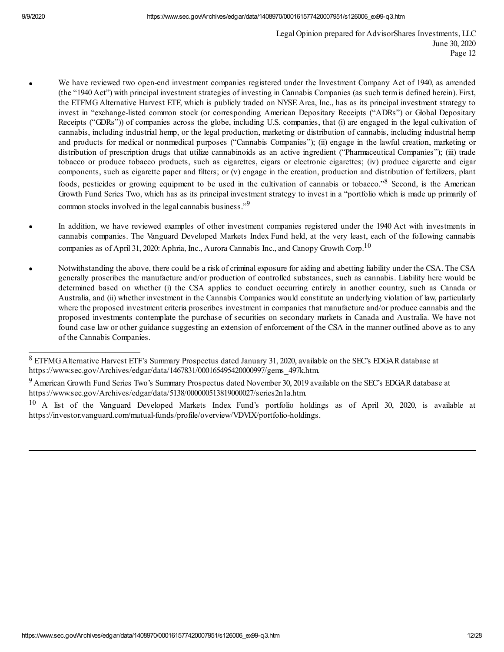- · We have reviewed two open-end investment companies registered under the Investment Company Act of 1940, as amended (the "1940 Act") with principal investment strategies of investing in Cannabis Companies (as such termis defined herein). First, the ETFMG Alternative Harvest ETF, which is publicly traded on NYSE Arca, Inc., has as its principal investment strategy to invest in "exchange-listed common stock (or corresponding American Depositary Receipts ("ADRs") or Global Depositary Receipts ("GDRs")) of companies across the globe, including U.S. companies, that (i) are engaged in the legal cultivation of cannabis, including industrial hemp, or the legal production, marketing or distribution of cannabis, including industrial hemp and products for medical or nonmedical purposes ("Cannabis Companies"); (ii) engage in the lawful creation, marketing or distribution of prescription drugs that utilize cannabinoids as an active ingredient ("Pharmaceutical Companies"); (iii) trade tobacco or produce tobacco products, such as cigarettes, cigars or electronic cigarettes; (iv) produce cigarette and cigar components, such as cigarette paper and filters; or (v) engage in the creation, production and distribution of fertilizers, plant foods, pesticides or growing equipment to be used in the cultivation of cannabis or tobacco."<sup>8</sup> Second, is the American Growth Fund Series Two, which has as its principal investment strategy to invest in a "portfolio which is made up primarily of common stocks involved in the legal cannabis business."<sup>9</sup>
- In addition, we have reviewed examples of other investment companies registered under the 1940 Act with investments in cannabis companies. The Vanguard Developed Markets Index Fund held, at the very least, each of the following cannabis companies as of April 31, 2020: Aphria, Inc., Aurora Cannabis Inc., and Canopy Growth Corp.<sup>10</sup>
- · Notwithstanding the above, there could be a risk of criminal exposure for aiding and abetting liability under the CSA. The CSA generally proscribes the manufacture and/or production of controlled substances, such as cannabis. Liability here would be determined based on whether (i) the CSA applies to conduct occurring entirely in another country, such as Canada or Australia, and (ii) whether investment in the Cannabis Companies would constitute an underlying violation of law, particularly where the proposed investment criteria proscribes investment in companies that manufacture and/or produce cannabis and the proposed investments contemplate the purchase of securities on secondary markets in Canada and Australia. We have not found case law or other guidance suggesting an extension of enforcement of the CSA in the manner outlined above as to any of the Cannabis Companies.

<sup>8</sup> ETFMGAlternative Harvest ETF's Summary Prospectus dated January 31, 2020, available on the SEC's EDGARdatabase at https://www.sec.gov/Archives/edgar/data/1467831/000165495420000997/gems\_497k.htm.

<sup>&</sup>lt;sup>9</sup> American Growth Fund Series Two's Summary Prospectus dated November 30, 2019 available on the SEC's EDGAR database at https://www.sec.gov/Archives/edgar/data/5138/000000513819000027/series2n1a.htm.

<sup>&</sup>lt;sup>10</sup> A list of the Vanguard Developed Markets Index Fund's portfolio holdings as of April 30, 2020, is available at https://investor.vanguard.com/mutual-funds/profile/overview/VDVIX/portfolio-holdings.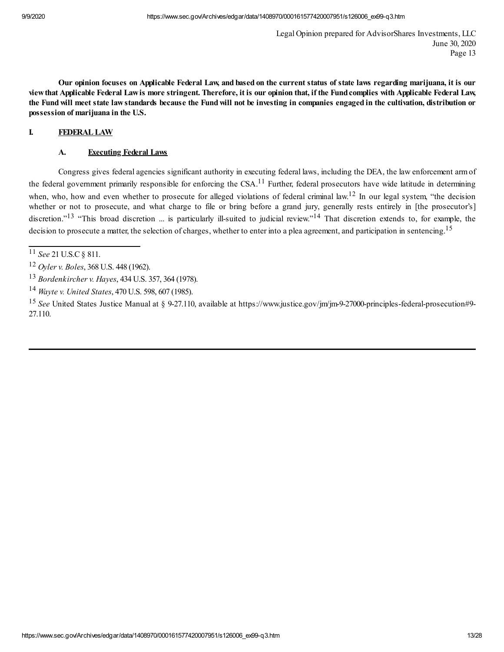Our opinion focuses on Applicable Federal Law, and based on the current status of state laws regarding marijuana, it is our view that Applicable Federal Lawis more stringent. Therefore, it is our opinion that, if the Fund complies with Applicable Federal Law, the Fund will meet state law standards because the Fund will not be investing in companies engaged in the cultivation, distribution or **possession of marijuana in the U.S.**

# **I. FEDERALLAW**

### **A. Executing Federal Laws**

Congress gives federal agencies significant authority in executing federal laws, including the DEA, the law enforcement armof the federal government primarily responsible for enforcing the  $CSA$ .<sup>11</sup> Further, federal prosecutors have wide latitude in determining when, who, how and even whether to prosecute for alleged violations of federal criminal law.<sup>12</sup> In our legal system, "the decision whether or not to prosecute, and what charge to file or bring before a grand jury, generally rests entirely in [the prosecutor's] discretion."<sup>13</sup> "This broad discretion ... is particularly ill-suited to judicial review."<sup>14</sup> That discretion extends to, for example, the decision to prosecute a matter, the selection of charges, whether to enter into a plea agreement, and participation in sentencing.<sup>15</sup>

<sup>11</sup> *See* 21 U.S.C§ 811.

<sup>12</sup> *Oyler v. Boles*, 368 U.S. 448 (1962).

<sup>13</sup> *Bordenkircher v. Hayes*, 434 U.S. 357, 364 (1978).

<sup>14</sup> *Wayte v. United States*, 470 U.S. 598, 607 (1985).

<sup>15</sup> *See* United States Justice Manual at § 9-27.110, available at https://www.justice.gov/jm/jm-9-27000-principles-federal-prosecution#9- 27.110.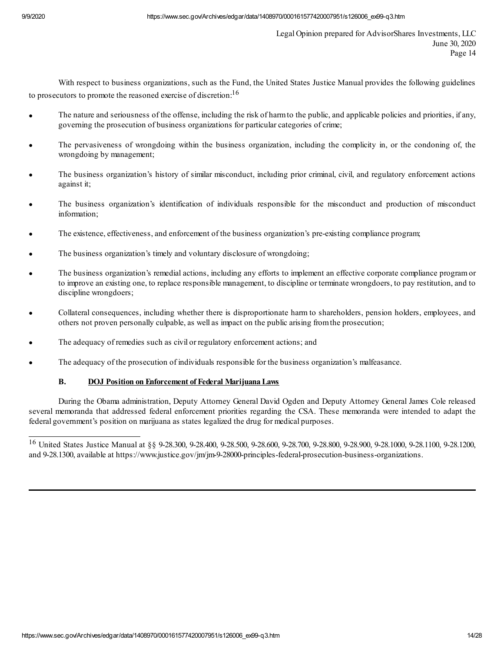With respect to business organizations, such as the Fund, the United States Justice Manual provides the following guidelines to prosecutors to promote the reasoned exercise of discretion:  $16$ 

- The nature and seriousness of the offense, including the risk of harm to the public, and applicable policies and priorities, if any, governing the prosecution of business organizations for particular categories of crime;
- The pervasiveness of wrongdoing within the business organization, including the complicity in, or the condoning of, the wrongdoing by management;
- The business organization's history of similar misconduct, including prior criminal, civil, and regulatory enforcement actions against it;
- The business organization's identification of individuals responsible for the misconduct and production of misconduct information;
- The existence, effectiveness, and enforcement of the business organization's pre-existing compliance program;
- The business organization's timely and voluntary disclosure of wrongdoing;
- The business organization's remedial actions, including any efforts to implement an effective corporate compliance program or to improve an existing one, to replace responsible management, to discipline or terminate wrongdoers, to pay restitution, and to discipline wrongdoers;
- Collateral consequences, including whether there is disproportionate harm to shareholders, pension holders, employees, and others not proven personally culpable, as well as impact on the public arising fromthe prosecution;
- The adequacy of remedies such as civil or regulatory enforcement actions; and
- The adequacy of the prosecution of individuals responsible for the business organization's malfeasance.

# **B. DOJ Position on Enforcement of Federal Marijuana Laws**

During the Obama administration, Deputy Attorney General David Ogden and Deputy Attorney General James Cole released several memoranda that addressed federal enforcement priorities regarding the CSA. These memoranda were intended to adapt the federal government's position on marijuana as states legalized the drug for medical purposes.

<sup>16</sup> United States Justice Manual at §§ 9-28.300, 9-28.400, 9-28.500, 9-28.600, 9-28.700, 9-28.800, 9-28.900, 9-28.1000, 9-28.1100, 9-28.1200, and 9-28.1300, available at https://www.justice.gov/jm/jm-9-28000-principles-federal-prosecution-business-organizations.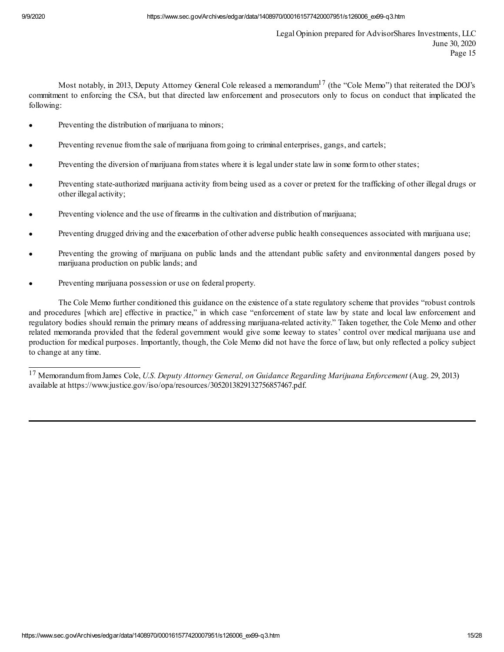Most notably, in 2013, Deputy Attorney General Cole released a memorandum $^{17}$  (the "Cole Memo") that reiterated the DOJ's commitment to enforcing the CSA, but that directed law enforcement and prosecutors only to focus on conduct that implicated the following:

- Preventing the distribution of marijuana to minors;
- Preventing revenue from the sale of marijuana from going to criminal enterprises, gangs, and cartels;
- Preventing the diversion of marijuana from states where it is legal under state law in some form to other states;
- Preventing state-authorized marijuana activity from being used as a cover or pretext for the trafficking of other illegal drugs or other illegal activity;
- Preventing violence and the use of firearms in the cultivation and distribution of marijuana;
- Preventing drugged driving and the exacerbation of other adverse public health consequences associated with marijuana use;
- Preventing the growing of marijuana on public lands and the attendant public safety and environmental dangers posed by marijuana production on public lands; and
- Preventing marijuana possession or use on federal property.

The Cole Memo further conditioned this guidance on the existence of a state regulatory scheme that provides "robust controls and procedures [which are] effective in practice," in which case "enforcement of state law by state and local law enforcement and regulatory bodies should remain the primary means of addressing marijuana-related activity." Taken together, the Cole Memo and other related memoranda provided that the federal government would give some leeway to states' control over medical marijuana use and production for medical purposes. Importantly, though, the Cole Memo did not have the force of law, but only reflected a policy subject to change at any time.

<sup>17</sup> MemorandumfromJames Cole, *U.S. Deputy Attorney General, on Guidance Regarding Marijuana Enforcement* (Aug. 29, 2013) available at https://www.justice.gov/iso/opa/resources/3052013829132756857467.pdf.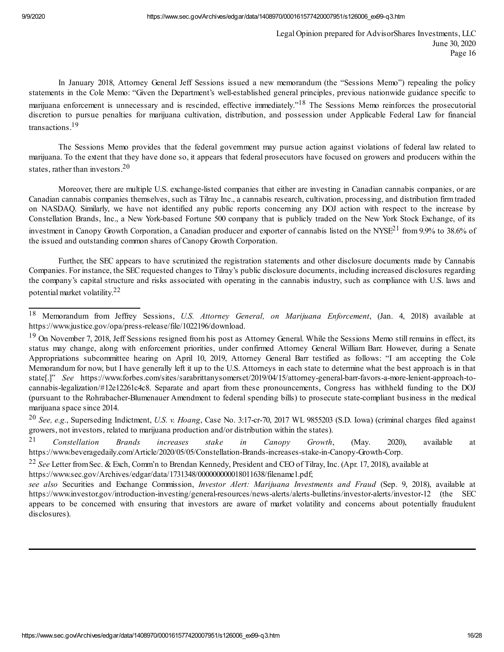In January 2018, Attorney General Jeff Sessions issued a new memorandum (the "Sessions Memo") repealing the policy statements in the Cole Memo: "Given the Department's well-established general principles, previous nationwide guidance specific to marijuana enforcement is unnecessary and is rescinded, effective immediately."<sup>18</sup> The Sessions Memo reinforces the prosecutorial discretion to pursue penalties for marijuana cultivation, distribution, and possession under Applicable Federal Law for financial transactions. 19

The Sessions Memo provides that the federal government may pursue action against violations of federal law related to marijuana. To the extent that they have done so, it appears that federal prosecutors have focused on growers and producers within the states, rather than investors. 20

Moreover, there are multiple U.S. exchange-listed companies that either are investing in Canadian cannabis companies, or are Canadian cannabis companies themselves, such as Tilray Inc., a cannabis research, cultivation, processing, and distribution firmtraded on NASDAQ. Similarly, we have not identified any public reports concerning any DOJ action with respect to the increase by Constellation Brands, Inc., a New York-based Fortune 500 company that is publicly traded on the New York Stock Exchange, of its investment in Canopy Growth Corporation, a Canadian producer and exporter of cannabis listed on the NYSE<sup>21</sup> from 9.9% to 38.6% of the issued and outstanding common shares of Canopy Growth Corporation.

Further, the SEC appears to have scrutinized the registration statements and other disclosure documents made by Cannabis Companies. For instance, the SECrequested changes to Tilray's public disclosure documents, including increased disclosures regarding the company's capital structure and risks associated with operating in the cannabis industry, such as compliance with U.S. laws and potential market volatility. 22

<sup>20</sup> *See, e.g.*, Superseding Indictment, *U.S. v. Hoang*, Case No. 3:17-cr-70, 2017 WL 9855203 (S.D. Iowa) (criminal charges filed against growers, not investors, related to marijuana production and/or distribution within the states).

<sup>21</sup> *Constellation Brands increases stake in Canopy Growth*, (May. 2020), available at https://www.beveragedaily.com/Article/2020/05/05/Constellation-Brands-increases-stake-in-Canopy-Growth-Corp.

<sup>18</sup> Memorandum from Jeffrey Sessions, *U.S. Attorney General, on Marijuana Enforcement*, (Jan. 4, 2018) available at https://www.justice.gov/opa/press-release/file/1022196/download.

 $19$  On November 7, 2018, Jeff Sessions resigned from his post as Attorney General. While the Sessions Memo still remains in effect, its status may change, along with enforcement priorities, under confirmed Attorney General William Barr. However, during a Senate Appropriations subcommittee hearing on April 10, 2019, Attorney General Barr testified as follows: "I am accepting the Cole Memorandum for now, but I have generally left it up to the U.S. Attorneys in each state to determine what the best approach is in that state[.]" *See* https://www.forbes.com/sites/sarabrittanysomerset/2019/04/15/attorney-general-barr-favors-a-more-lenient-approach-tocannabis-legalization/#12e12261c4c8. Separate and apart from these pronouncements, Congress has withheld funding to the DOJ (pursuant to the Rohrabacher-Blumenauer Amendment to federal spending bills) to prosecute state-compliant business in the medical marijuana space since 2014.

<sup>22</sup> *See* Letter fromSec. & Exch, Comm'n to Brendan Kennedy, President and CEO of Tilray, Inc. (Apr. 17, 2018), available at https://www.sec.gov/Archives/edgar/data/1731348/000000000018011638/filename1.pdf;

*see also* Securities and Exchange Commission, *Investor Alert: Marijuana Investments and Fraud* (Sep. 9, 2018), available at https://www.investor.gov/introduction-investing/general-resources/news-alerts/alerts-bulletins/investor-alerts/investor-12 (the SEC appears to be concerned with ensuring that investors are aware of market volatility and concerns about potentially fraudulent disclosures).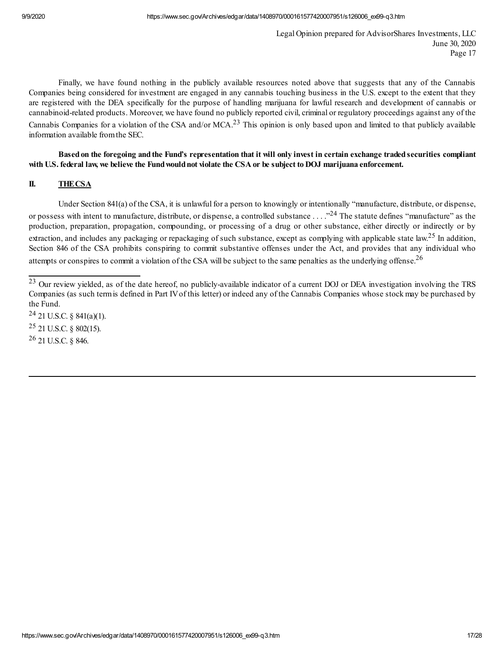Finally, we have found nothing in the publicly available resources noted above that suggests that any of the Cannabis Companies being considered for investment are engaged in any cannabis touching business in the U.S. except to the extent that they are registered with the DEA specifically for the purpose of handling marijuana for lawful research and development of cannabis or cannabinoid-related products. Moreover, we have found no publicly reported civil, criminal or regulatory proceedings against any of the Cannabis Companies for a violation of the CSA and/or MCA. $^{23}$  This opinion is only based upon and limited to that publicly available information available fromthe SEC.

Based on the foregoing and the Fund's representation that it will only invest in certain exchange traded securities compliant with U.S. federal law, we believe the Fund would not violate the CSA or be subject to DOJ marijuana enforcement.

### **II. THECSA**

Under Section 841(a) of the CSA, it is unlawful for a person to knowingly or intentionally "manufacture, distribute, or dispense, or possess with intent to manufacture, distribute, or dispense, a controlled substance . . . ."<sup>24</sup> The statute defines "manufacture" as the production, preparation, propagation, compounding, or processing of a drug or other substance, either directly or indirectly or by extraction, and includes any packaging or repackaging of such substance, except as complying with applicable state law.<sup>25</sup> In addition, Section 846 of the CSA prohibits conspiring to commit substantive offenses under the Act, and provides that any individual who attempts or conspires to commit a violation of the CSA will be subject to the same penalties as the underlying offense. $^{26}$ 

 $24$  21 U.S.C. § 841(a)(1). <sup>25</sup> 21 U.S.C. § 802(15). <sup>26</sup> 21 U.S.C. § 846.

<sup>&</sup>lt;sup>23</sup> Our review yielded, as of the date hereof, no publicly-available indicator of a current DOJ or DEA investigation involving the TRS Companies (as such termis defined in Part IVof this letter) or indeed any of the Cannabis Companies whose stock may be purchased by the Fund.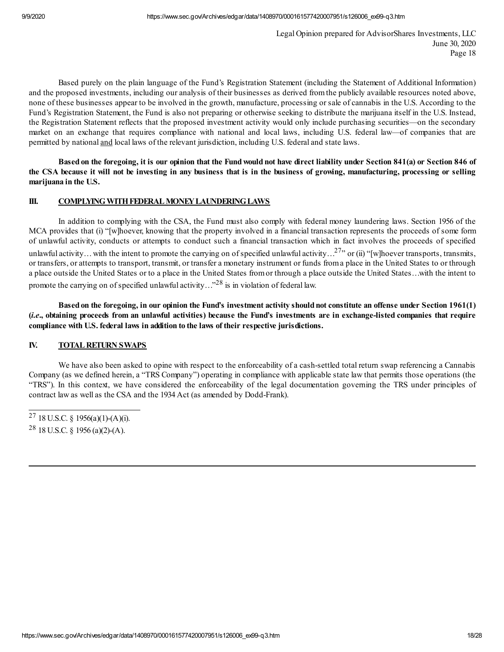Based purely on the plain language of the Fund's Registration Statement (including the Statement of Additional Information) and the proposed investments, including our analysis of their businesses as derived fromthe publicly available resources noted above, none of these businesses appear to be involved in the growth, manufacture, processing or sale of cannabis in the U.S. According to the Fund's Registration Statement, the Fund is also not preparing or otherwise seeking to distribute the marijuana itself in the U.S. Instead, the Registration Statement reflects that the proposed investment activity would only include purchasing securities—on the secondary market on an exchange that requires compliance with national and local laws, including U.S. federal law—of companies that are permitted by national and local laws of the relevant jurisdiction, including U.S. federal and state laws.

Based on the foregoing, it is our opinion that the Fund would not have direct liability under Section 841(a) or Section 846 of the CSA because it will not be investing in any business that is in the business of growing, manufacturing, processing or selling **marijuana in the U.S.**

# **III. COMPLYING WITH FEDERAL MONEY LAUNDERING LAWS**

In addition to complying with the CSA, the Fund must also comply with federal money laundering laws. Section 1956 of the MCA provides that (i) "[w]hoever, knowing that the property involved in a financial transaction represents the proceeds of some form of unlawful activity, conducts or attempts to conduct such a financial transaction which in fact involves the proceeds of specified unlawful activity... with the intent to promote the carrying on of specified unlawful activity...<sup>27</sup>" or (ii) "[w]hoever transports, transmits, or transfers, or attempts to transport, transmit, or transfer a monetary instrument or funds froma place in the United States to or through a place outside the United States or to a place in the United States fromor through a place outside the United States…with the intent to promote the carrying on of specified unlawful activity..."<sup>28</sup> is in violation of federal law.

Based on the foregoing, in our opinion the Fund's investment activity should not constitute an offense under Section 1961(1) *(i.e., obtaining proceeds from an unlawful activities)* because the Fund's investments are in exchange-listed companies that require **compliance with U.S. federal laws in addition to the laws of their respective jurisdictions.**

# **IV. TOTAL RETURN SWAPS**

We have also been asked to opine with respect to the enforceability of a cash-settled total return swap referencing a Cannabis Company (as we defined herein, a "TRS Company") operating in compliance with applicable state law that permits those operations (the "TRS"). In this context, we have considered the enforceability of the legal documentation governing the TRS under principles of contract law as well as the CSA and the 1934 Act (as amended by Dodd-Frank).

<sup>&</sup>lt;sup>27</sup> 18 U.S.C. § 1956(a)(1)-(A)(i). <sup>28</sup> 18 U.S.C. § 1956 (a)(2)-(A).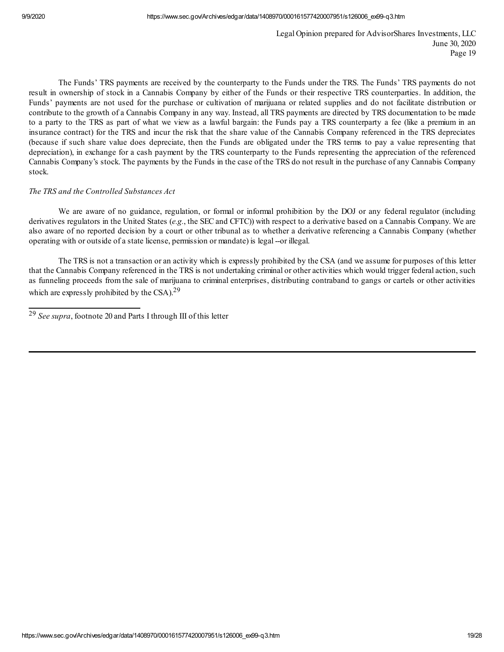The Funds' TRS payments are received by the counterparty to the Funds under the TRS. The Funds' TRS payments do not result in ownership of stock in a Cannabis Company by either of the Funds or their respective TRS counterparties. In addition, the Funds' payments are not used for the purchase or cultivation of marijuana or related supplies and do not facilitate distribution or contribute to the growth of a Cannabis Company in any way. Instead, all TRS payments are directed by TRS documentation to be made to a party to the TRS as part of what we view as a lawful bargain: the Funds pay a TRS counterparty a fee (like a premium in an insurance contract) for the TRS and incur the risk that the share value of the Cannabis Company referenced in the TRS depreciates (because if such share value does depreciate, then the Funds are obligated under the TRS terms to pay a value representing that depreciation), in exchange for a cash payment by the TRS counterparty to the Funds representing the appreciation of the referenced Cannabis Company's stock. The payments by the Funds in the case of the TRS do not result in the purchase of any Cannabis Company stock.

### *The TRS and the Controlled Substances Act*

We are aware of no guidance, regulation, or formal or informal prohibition by the DOJ or any federal regulator (including derivatives regulators in the United States (*e.g.*, the SEC and CFTC)) with respect to a derivative based on a Cannabis Company. We are also aware of no reported decision by a court or other tribunal as to whether a derivative referencing a Cannabis Company (whether operating with or outside of a state license, permission or mandate) is legal --or illegal.

The TRS is not a transaction or an activity which is expressly prohibited by the CSA (and we assume for purposes of this letter that the Cannabis Company referenced in the TRS is not undertaking criminal or other activities which would trigger federal action, such as funneling proceeds from the sale of marijuana to criminal enterprises, distributing contraband to gangs or cartels or other activities which are expressly prohibited by the CSA). $29$ 

<sup>29</sup> *See supra*, footnote 20 and Parts I through III of this letter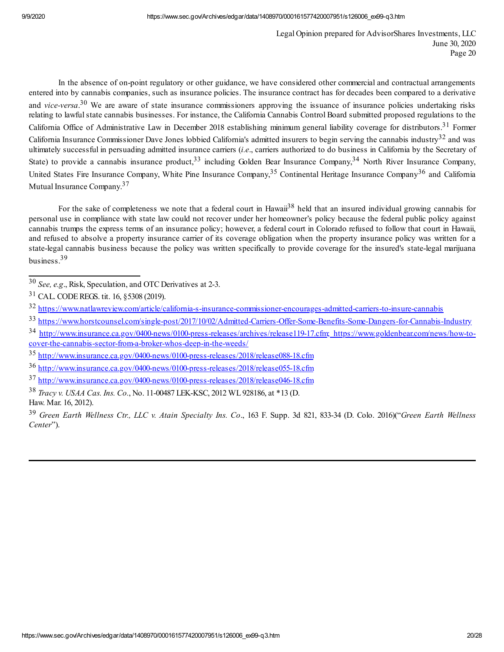In the absence of on-point regulatory or other guidance, we have considered other commercial and contractual arrangements entered into by cannabis companies, such as insurance policies. The insurance contract has for decades been compared to a derivative and *vice-versa*.<sup>30</sup> We are aware of state insurance commissioners approving the issuance of insurance policies undertaking risks relating to lawful state cannabis businesses. For instance, the California Cannabis Control Board submitted proposed regulations to the California Office of Administrative Law in December 2018 establishing minimum general liability coverage for distributors.<sup>31</sup> Former California Insurance Commissioner Dave Jones lobbied California's admitted insurers to begin serving the cannabis industry<sup>32</sup> and was ultimately successful in persuading admitted insurance carriers (*i.e*., carriers authorized to do business in California by the Secretary of State) to provide a cannabis insurance product,<sup>33</sup> including Golden Bear Insurance Company,<sup>34</sup> North River Insurance Company, United States Fire Insurance Company, White Pine Insurance Company,<sup>35</sup> Continental Heritage Insurance Company<sup>36</sup> and California Mutual Insurance Company. 37

For the sake of completeness we note that a federal court in Hawaii<sup>38</sup> held that an insured individual growing cannabis for personal use in compliance with state law could not recover under her homeowner's policy because the federal public policy against cannabis trumps the express terms of an insurance policy; however, a federal court in Colorado refused to follow that court in Hawaii, and refused to absolve a property insurance carrier of its coverage obligation when the property insurance policy was written for a state-legal cannabis business because the policy was written specifically to provide coverage for the insured's state-legal marijuana business. 39

33 https://www.horstcounsel.com/single-post/2017/10/02/Admitted-Carriers-Offer-Some-Benefits-Some-Dangers-for-Cannabis-Industry

<sup>30</sup> *See, e.g*., Risk, Speculation, and OTC Derivatives at 2-3.

<sup>31</sup> CAL. CODEREGS. tit. 16, §5308 (2019).

<sup>32</sup> https://www.natlawreview.com/article/california-s-insurance-commissioner-encourages-admitted-carriers-to-insure-cannabis

<sup>34</sup> http://www.insurance.ca.gov/0400-news/0100-press-releases/archives/release119-17.cfm; https://www.goldenbear.com/news/how-tocover-the-cannabis-sector-from-a-broker-whos-deep-in-the-weeds/

<sup>35</sup> http://www.insurance.ca.gov/0400-news/0100-press-releases/2018/release088-18.cfm

<sup>36</sup> http://www.insurance.ca.gov/0400-news/0100-press-releases/2018/release055-18.cfm

<sup>37</sup> http://www.insurance.ca.gov/0400-news/0100-press-releases/2018/release046-18.cfm

<sup>38</sup> *Tracy v. USAA Cas. Ins. Co.*, No. 11-00487 LEK-KSC, 2012 WL928186, at \*13 (D. Haw. Mar. 16, 2012).

<sup>39</sup> *Green Earth Wellness Ctr., LLC v. Atain Specialty Ins. Co*., 163 F. Supp. 3d 821, 833-34 (D. Colo. 2016)("*Green Earth Wellness Center*").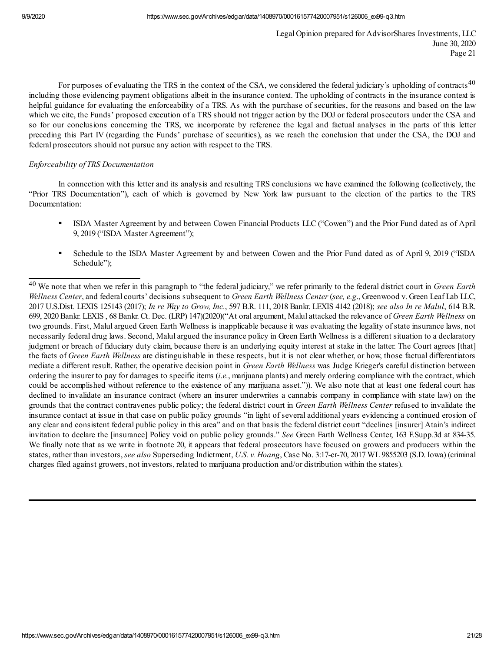For purposes of evaluating the TRS in the context of the CSA, we considered the federal judiciary's upholding of contracts<sup>40</sup> including those evidencing payment obligations albeit in the insurance context. The upholding of contracts in the insurance context is helpful guidance for evaluating the enforceability of a TRS. As with the purchase of securities, for the reasons and based on the law which we cite, the Funds' proposed execution of a TRS should not trigger action by the DOJ or federal prosecutors under the CSA and so for our conclusions concerning the TRS, we incorporate by reference the legal and factual analyses in the parts of this letter preceding this Part IV (regarding the Funds' purchase of securities), as we reach the conclusion that under the CSA, the DOJ and federal prosecutors should not pursue any action with respect to the TRS.

## *Enforceability of TRS Documentation*

In connection with this letter and its analysis and resulting TRS conclusions we have examined the following (collectively, the "Prior TRS Documentation"), each of which is governed by New York law pursuant to the election of the parties to the TRS Documentation:

- § ISDA Master Agreement by and between Cowen Financial Products LLC ("Cowen") and the Prior Fund dated as of April 9, 2019 ("ISDA Master Agreement");
- § Schedule to the ISDA Master Agreement by and between Cowen and the Prior Fund dated as of April 9, 2019 ("ISDA Schedule");

<sup>40</sup> We note that when we refer in this paragraph to "the federal judiciary," we refer primarily to the federal district court in *Green Earth Wellness Center*, and federal courts' decisions subsequent to *Green Earth Wellness Center* (*see, e.g*., Greenwood v. Green Leaf Lab LLC, 2017 U.S.Dist. LEXIS 125143 (2017); *In re Way to Grow, Inc.*, 597 B.R. 111, 2018 Bankr. LEXIS 4142 (2018); *see also In re Malul*, 614 B.R. 699, 2020 Bankr. LEXIS , 68 Bankr. Ct. Dec. (LRP) 147)(2020)("At oral argument, Malul attacked the relevance of *Green Earth Wellness* on two grounds. First, Malul argued Green Earth Wellness is inapplicable because it was evaluating the legality of state insurance laws, not necessarily federal drug laws. Second, Malul argued the insurance policy in Green Earth Wellness is a different situation to a declaratory judgment or breach of fiduciary duty claim, because there is an underlying equity interest at stake in the latter. The Court agrees [that] the facts of *Green Earth Wellness* are distinguishable in these respects, but it is not clear whether, or how, those factual differentiators mediate a different result. Rather, the operative decision point in *Green Earth Wellness* was Judge Krieger's careful distinction between ordering the insurer to pay for damages to specific items (*i.e.*, marijuana plants) and merely ordering compliance with the contract, which could be accomplished without reference to the existence of any marijuana asset.")). We also note that at least one federal court has declined to invalidate an insurance contract (where an insurer underwrites a cannabis company in compliance with state law) on the grounds that the contract contravenes public policy; the federal district court in *Green Earth Wellness Center* refused to invalidate the insurance contact at issue in that case on public policy grounds "in light of several additional years evidencing a continued erosion of any clear and consistent federal public policy in this area" and on that basis the federal district court "declines [insurer] Atain's indirect invitation to declare the [insurance] Policy void on public policy grounds." *See* Green Earth Wellness Center, 163 F.Supp.3d at 834-35. We finally note that as we write in footnote 20, it appears that federal prosecutors have focused on growers and producers within the states, rather than investors, *see also* Superseding Indictment, *U.S. v. Hoang*, Case No. 3:17-cr-70, 2017 WL9855203 (S.D. Iowa) (criminal charges filed against growers, not investors, related to marijuana production and/or distribution within the states).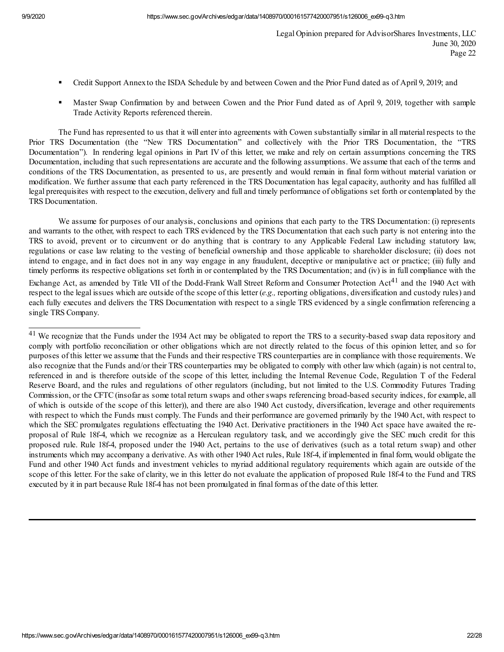- § Credit Support Annexto the ISDA Schedule by and between Cowen and the Prior Fund dated as of April 9, 2019; and
- § Master Swap Confirmation by and between Cowen and the Prior Fund dated as of April 9, 2019, together with sample Trade Activity Reports referenced therein.

The Fund has represented to us that it will enter into agreements with Cowen substantially similar in all material respects to the Prior TRS Documentation (the "New TRS Documentation" and collectively with the Prior TRS Documentation, the "TRS Documentation"). In rendering legal opinions in Part IV of this letter, we make and rely on certain assumptions concerning the TRS Documentation, including that such representations are accurate and the following assumptions. We assume that each of the terms and conditions of the TRS Documentation, as presented to us, are presently and would remain in final form without material variation or modification. We further assume that each party referenced in the TRS Documentation has legal capacity, authority and has fulfilled all legal prerequisites with respect to the execution, delivery and full and timely performance of obligations set forth or contemplated by the TRS Documentation.

We assume for purposes of our analysis, conclusions and opinions that each party to the TRS Documentation: (i) represents and warrants to the other, with respect to each TRS evidenced by the TRS Documentation that each such party is not entering into the TRS to avoid, prevent or to circumvent or do anything that is contrary to any Applicable Federal Law including statutory law, regulations or case law relating to the vesting of beneficial ownership and those applicable to shareholder disclosure; (ii) does not intend to engage, and in fact does not in any way engage in any fraudulent, deceptive or manipulative act or practice; (iii) fully and timely performs its respective obligations set forth in or contemplated by the TRS Documentation; and (iv) is in full compliance with the Exchange Act, as amended by Title VII of the Dodd-Frank Wall Street Reform and Consumer Protection Act<sup>41</sup> and the 1940 Act with respect to the legal issues which are outside of the scope of this letter (*e.g.,* reporting obligations, diversification and custody rules) and each fully executes and delivers the TRS Documentation with respect to a single TRS evidenced by a single confirmation referencing a single TRS Company.

<sup>&</sup>lt;sup>41</sup> We recognize that the Funds under the 1934 Act may be obligated to report the TRS to a security-based swap data repository and comply with portfolio reconciliation or other obligations which are not directly related to the focus of this opinion letter, and so for purposes of this letter we assume that the Funds and their respective TRS counterparties are in compliance with those requirements. We also recognize that the Funds and/or their TRS counterparties may be obligated to comply with other law which (again) is not central to, referenced in and is therefore outside of the scope of this letter, including the Internal Revenue Code, Regulation T of the Federal Reserve Board, and the rules and regulations of other regulators (including, but not limited to the U.S. Commodity Futures Trading Commission, or the CFTC (insofar as some total return swaps and other swaps referencing broad-based security indices, for example, all of which is outside of the scope of this letter)), and there are also 1940 Act custody, diversification, leverage and other requirements with respect to which the Funds must comply. The Funds and their performance are governed primarily by the 1940 Act, with respect to which the SEC promulgates regulations effectuating the 1940 Act. Derivative practitioners in the 1940 Act space have awaited the reproposal of Rule 18f-4, which we recognize as a Herculean regulatory task, and we accordingly give the SEC much credit for this proposed rule. Rule 18f-4, proposed under the 1940 Act, pertains to the use of derivatives (such as a total return swap) and other instruments which may accompany a derivative. As with other 1940 Act rules, Rule 18f-4, if implemented in final form, would obligate the Fund and other 1940 Act funds and investment vehicles to myriad additional regulatory requirements which again are outside of the scope of this letter. For the sake of clarity, we in this letter do not evaluate the application of proposed Rule 18f-4 to the Fund and TRS executed by it in part because Rule 18f-4 has not been promulgated in final formas of the date of this letter.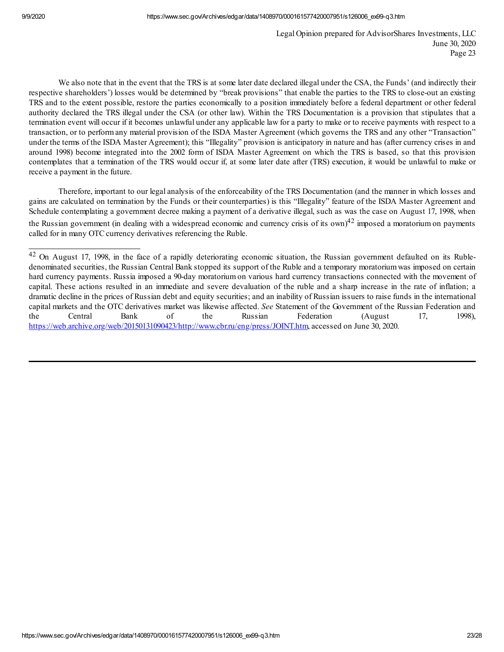We also note that in the event that the TRS is at some later date declared illegal under the CSA, the Funds' (and indirectly their respective shareholders') losses would be determined by "break provisions" that enable the parties to the TRS to close-out an existing TRS and to the extent possible, restore the parties economically to a position immediately before a federal department or other federal authority declared the TRS illegal under the CSA (or other law). Within the TRS Documentation is a provision that stipulates that a termination event will occur if it becomes unlawful under any applicable law for a party to make or to receive payments with respect to a transaction, or to perform any material provision of the ISDA Master Agreement (which governs the TRS and any other "Transaction" under the terms of the ISDA Master Agreement); this "Illegality" provision is anticipatory in nature and has (after currency crises in and around 1998) become integrated into the 2002 form of ISDA Master Agreement on which the TRS is based, so that this provision contemplates that a termination of the TRS would occur if, at some later date after (TRS) execution, it would be unlawful to make or receive a payment in the future.

Therefore, important to our legal analysis of the enforceability of the TRS Documentation (and the manner in which losses and gains are calculated on termination by the Funds or their counterparties) is this "Illegality" feature of the ISDA Master Agreement and Schedule contemplating a government decree making a payment of a derivative illegal, such as was the case on August 17, 1998, when the Russian government (in dealing with a widespread economic and currency crisis of its own)<sup>42</sup> imposed a moratorium on payments called for in many OTC currency derivatives referencing the Ruble.

<sup>42</sup> On August 17, 1998, in the face of a rapidly deteriorating economic situation, the Russian government defaulted on its Rubledenominated securities, the Russian Central Bank stopped its support of the Ruble and a temporary moratoriumwas imposed on certain hard currency payments. Russia imposed a 90-day moratorium on various hard currency transactions connected with the movement of capital. These actions resulted in an immediate and severe devaluation of the ruble and a sharp increase in the rate of inflation; a dramatic decline in the prices of Russian debt and equity securities; and an inability of Russian issuers to raise funds in the international capital markets and the OTC derivatives market was likewise affected. *See* Statement of the Government of the Russian Federation and the Central Bank of the Russian Federation (August 17, 1998), https://web.archive.org/web/20150131090423/http://www.cbr.ru/eng/press/JOINT.htm, accessed on June 30, 2020.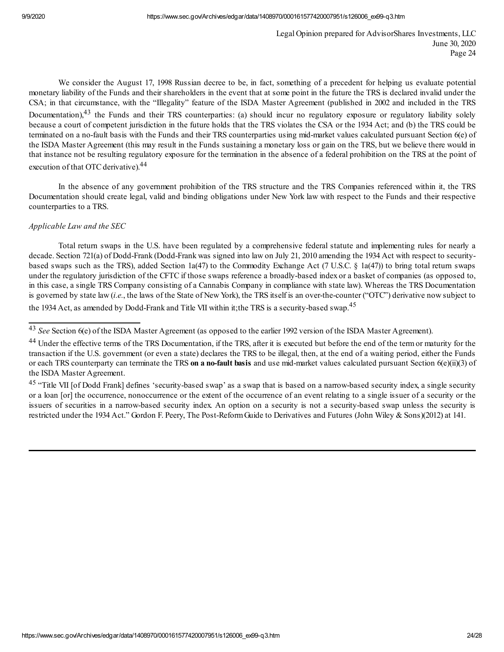We consider the August 17, 1998 Russian decree to be, in fact, something of a precedent for helping us evaluate potential monetary liability of the Funds and their shareholders in the event that at some point in the future the TRS is declared invalid under the CSA; in that circumstance, with the "Illegality" feature of the ISDA Master Agreement (published in 2002 and included in the TRS Documentation),<sup>43</sup> the Funds and their TRS counterparties: (a) should incur no regulatory exposure or regulatory liability solely because a court of competent jurisdiction in the future holds that the TRS violates the CSA or the 1934 Act; and (b) the TRS could be terminated on a no-fault basis with the Funds and their TRS counterparties using mid-market values calculated pursuant Section 6(e) of the ISDA Master Agreement (this may result in the Funds sustaining a monetary loss or gain on the TRS, but we believe there would in that instance not be resulting regulatory exposure for the termination in the absence of a federal prohibition on the TRS at the point of execution of that OTC derivative).<sup>44</sup>

In the absence of any government prohibition of the TRS structure and the TRS Companies referenced within it, the TRS Documentation should create legal, valid and binding obligations under New York law with respect to the Funds and their respective counterparties to a TRS.

# *Applicable Law and the SEC*

Total return swaps in the U.S. have been regulated by a comprehensive federal statute and implementing rules for nearly a decade. Section 721(a) of Dodd-Frank (Dodd-Frank was signed into law on July 21, 2010 amending the 1934 Act with respect to securitybased swaps such as the TRS), added Section 1a(47) to the Commodity Exchange Act (7 U.S.C. § 1a(47)) to bring total return swaps under the regulatory jurisdiction of the CFTC if those swaps reference a broadly-based index or a basket of companies (as opposed to, in this case, a single TRS Company consisting of a Cannabis Company in compliance with state law). Whereas the TRS Documentation is governed by state law (*i.e.*, the laws of the State of New York), the TRS itself is an over-the-counter ("OTC") derivative now subject to the 1934 Act, as amended by Dodd-Frank and Title VII within it; the TRS is a security-based swap.<sup>45</sup>

<sup>&</sup>lt;sup>43</sup> See Section 6(e) of the ISDA Master Agreement (as opposed to the earlier 1992 version of the ISDA Master Agreement).

<sup>&</sup>lt;sup>44</sup> Under the effective terms of the TRS Documentation, if the TRS, after it is executed but before the end of the term or maturity for the transaction if the U.S. government (or even a state) declares the TRS to be illegal, then, at the end of a waiting period, either the Funds or each TRS counterparty can terminate the TRS **on a no-fault basis** and use mid-market values calculated pursuant Section 6(e)(ii)(3) of the ISDA Master Agreement.

<sup>&</sup>lt;sup>45</sup> "Title VII [of Dodd Frank] defines 'security-based swap' as a swap that is based on a narrow-based security index, a single security or a loan [or] the occurrence, nonoccurrence or the extent of the occurrence of an event relating to a single issuer of a security or the issuers of securities in a narrow-based security index. An option on a security is not a security-based swap unless the security is restricted under the 1934 Act." Gordon F. Peery, The Post-ReformGuide to Derivatives and Futures (John Wiley & Sons)(2012) at 141.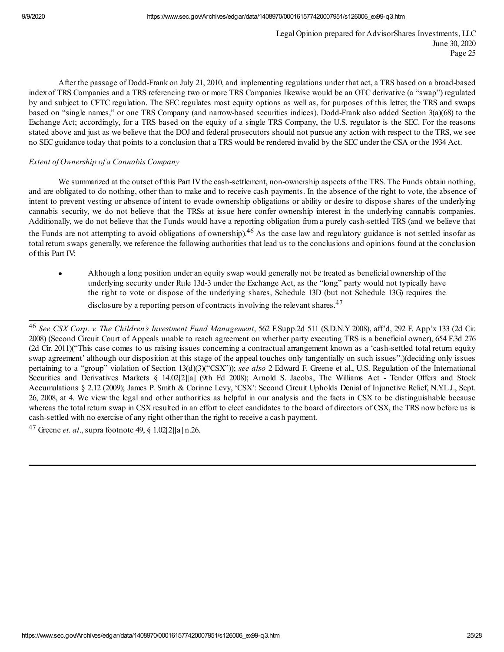After the passage of Dodd-Frank on July 21, 2010, and implementing regulations under that act, a TRS based on a broad-based index of TRS Companies and a TRS referencing two or more TRS Companies likewise would be an OTC derivative (a "swap") regulated by and subject to CFTC regulation. The SEC regulates most equity options as well as, for purposes of this letter, the TRS and swaps based on "single names," or one TRS Company (and narrow-based securities indices). Dodd-Frank also added Section 3(a)(68) to the Exchange Act; accordingly, for a TRS based on the equity of a single TRS Company, the U.S. regulator is the SEC. For the reasons stated above and just as we believe that the DOJ and federal prosecutors should not pursue any action with respect to the TRS, we see no SECguidance today that points to a conclusion that a TRS would be rendered invalid by the SECunder the CSA or the 1934 Act.

# *Extent of Ownership of a Cannabis Company*

We summarized at the outset of this Part IV the cash-settlement, non-ownership aspects of the TRS. The Funds obtain nothing, and are obligated to do nothing, other than to make and to receive cash payments. In the absence of the right to vote, the absence of intent to prevent vesting or absence of intent to evade ownership obligations or ability or desire to dispose shares of the underlying cannabis security, we do not believe that the TRSs at issue here confer ownership interest in the underlying cannabis companies. Additionally, we do not believe that the Funds would have a reporting obligation from a purely cash-settled TRS (and we believe that

the Funds are not attempting to avoid obligations of ownership).<sup>46</sup> As the case law and regulatory guidance is not settled insofar as total return swaps generally, we reference the following authorities that lead us to the conclusions and opinions found at the conclusion of this Part IV:

· Although a long position under an equity swap would generally not be treated as beneficial ownership of the underlying security under Rule 13d-3 under the Exchange Act, as the "long" party would not typically have the right to vote or dispose of the underlying shares, Schedule 13D (but not Schedule 13G) requires the disclosure by a reporting person of contracts involving the relevant shares.<sup>47</sup>

<sup>47</sup> Greene *et. al*., supra footnote 49, § 1.02[2][a] n.26.

<sup>46</sup> *See CSX Corp. v. The Children's Investment Fund Management*, 562 F.Supp.2d 511 (S.D.N.Y 2008), aff'd, 292 F. App'x 133 (2d Cir. 2008) (Second Circuit Court of Appeals unable to reach agreement on whether party executing TRS is a beneficial owner), 654 F.3d 276 (2d Cir. 2011)("This case comes to us raising issues concerning a contractual arrangement known as a 'cash-settled total return equity swap agreement' although our disposition at this stage of the appeal touches only tangentially on such issues".)(deciding only issues pertaining to a "group" violation of Section 13(d)(3)("CSX")); *see also* 2 Edward F. Greene et al., U.S. Regulation of the International Securities and Derivatives Markets § 14.02[2][a] (9th Ed 2008); Arnold S. Jacobs, The Williams Act - Tender Offers and Stock Accumulations § 2.12 (2009); James P. Smith & Corinne Levy, 'CSX': Second Circuit Upholds Denial of Injunctive Relief, N.Y.L.J., Sept. 26, 2008, at 4. We view the legal and other authorities as helpful in our analysis and the facts in CSX to be distinguishable because whereas the total return swap in CSX resulted in an effort to elect candidates to the board of directors of CSX, the TRS now before us is cash-settled with no exercise of any right other than the right to receive a cash payment.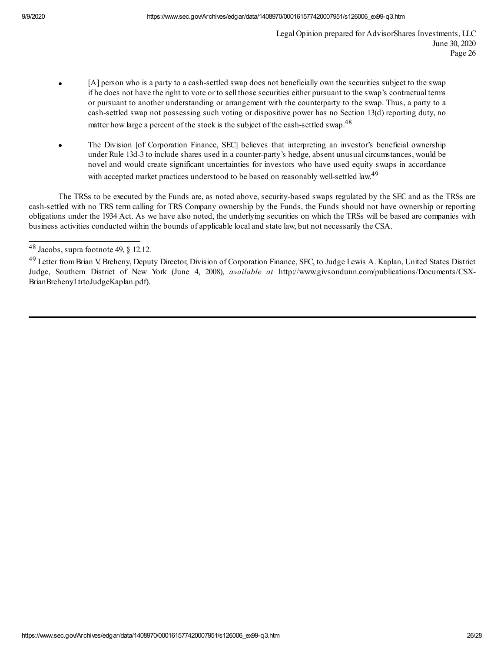- [A] person who is a party to a cash-settled swap does not beneficially own the securities subject to the swap if he does not have the right to vote or to sell those securities either pursuant to the swap's contractual terms or pursuant to another understanding or arrangement with the counterparty to the swap. Thus, a party to a cash-settled swap not possessing such voting or dispositive power has no Section 13(d) reporting duty, no matter how large a percent of the stock is the subject of the cash-settled swap.<sup>48</sup>
- The Division [of Corporation Finance, SEC] believes that interpreting an investor's beneficial ownership under Rule 13d-3 to include shares used in a counter-party's hedge, absent unusual circumstances, would be novel and would create significant uncertainties for investors who have used equity swaps in accordance with accepted market practices understood to be based on reasonably well-settled law.<sup>49</sup>

The TRSs to be executed by the Funds are, as noted above, security-based swaps regulated by the SEC and as the TRSs are cash-settled with no TRS term calling for TRS Company ownership by the Funds, the Funds should not have ownership or reporting obligations under the 1934 Act. As we have also noted, the underlying securities on which the TRSs will be based are companies with business activities conducted within the bounds of applicable local and state law, but not necessarily the CSA.

 $48$  Jacobs, supra footnote 49, § 12.12.

<sup>49</sup> Letter fromBrian V. Breheny, Deputy Director, Division of Corporation Finance, SEC, to Judge Lewis A. Kaplan, United States District Judge, Southern District of New York (June 4, 2008), *available at* http://www.givsondunn.com/publications/Documents/CSX-BrianBrehenyLtrtoJudgeKaplan.pdf).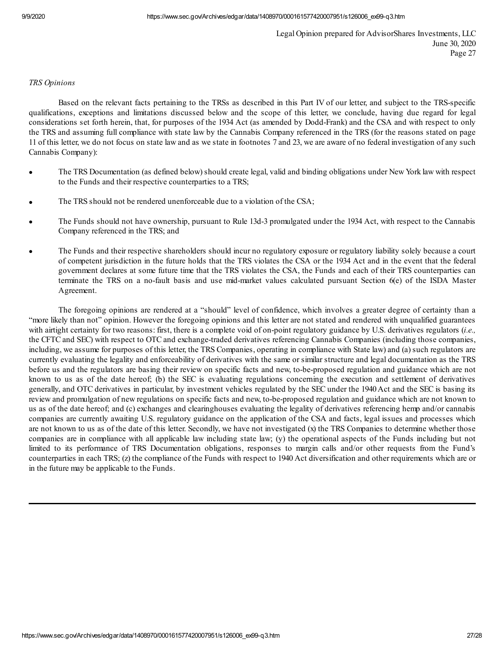### *TRS Opinions*

Based on the relevant facts pertaining to the TRSs as described in this Part IV of our letter, and subject to the TRS-specific qualifications, exceptions and limitations discussed below and the scope of this letter, we conclude, having due regard for legal considerations set forth herein, that, for purposes of the 1934 Act (as amended by Dodd-Frank) and the CSA and with respect to only the TRS and assuming full compliance with state law by the Cannabis Company referenced in the TRS (for the reasons stated on page 11 of this letter, we do not focus on state law and as we state in footnotes 7 and 23, we are aware of no federal investigation of any such Cannabis Company):

- The TRS Documentation (as defined below) should create legal, valid and binding obligations under New York law with respect to the Funds and their respective counterparties to a TRS;
- The TRS should not be rendered unenforceable due to a violation of the CSA;
- The Funds should not have ownership, pursuant to Rule 13d-3 promulgated under the 1934 Act, with respect to the Cannabis Company referenced in the TRS; and
- The Funds and their respective shareholders should incur no regulatory exposure or regulatory liability solely because a court of competent jurisdiction in the future holds that the TRS violates the CSA or the 1934 Act and in the event that the federal government declares at some future time that the TRS violates the CSA, the Funds and each of their TRS counterparties can terminate the TRS on a no-fault basis and use mid-market values calculated pursuant Section 6(e) of the ISDA Master Agreement.

The foregoing opinions are rendered at a "should" level of confidence, which involves a greater degree of certainty than a "more likely than not" opinion. However the foregoing opinions and this letter are not stated and rendered with unqualified guarantees with airtight certainty for two reasons: first, there is a complete void of on-point regulatory guidance by U.S. derivatives regulators (*i.e.,* the CFTC and SEC) with respect to OTC and exchange-traded derivatives referencing Cannabis Companies (including those companies, including, we assume for purposes of this letter, the TRS Companies, operating in compliance with State law) and (a) such regulators are currently evaluating the legality and enforceability of derivatives with the same or similar structure and legal documentation as the TRS before us and the regulators are basing their review on specific facts and new, to-be-proposed regulation and guidance which are not known to us as of the date hereof; (b) the SEC is evaluating regulations concerning the execution and settlement of derivatives generally, and OTC derivatives in particular, by investment vehicles regulated by the SEC under the 1940 Act and the SEC is basing its review and promulgation of new regulations on specific facts and new, to-be-proposed regulation and guidance which are not known to us as of the date hereof; and (c) exchanges and clearinghouses evaluating the legality of derivatives referencing hemp and/or cannabis companies are currently awaiting U.S. regulatory guidance on the application of the CSA and facts, legal issues and processes which are not known to us as of the date of this letter. Secondly, we have not investigated (x) the TRS Companies to determine whether those companies are in compliance with all applicable law including state law; (y) the operational aspects of the Funds including but not limited to its performance of TRS Documentation obligations, responses to margin calls and/or other requests from the Fund's counterparties in each TRS; (z) the compliance of the Funds with respect to 1940 Act diversification and other requirements which are or in the future may be applicable to the Funds.